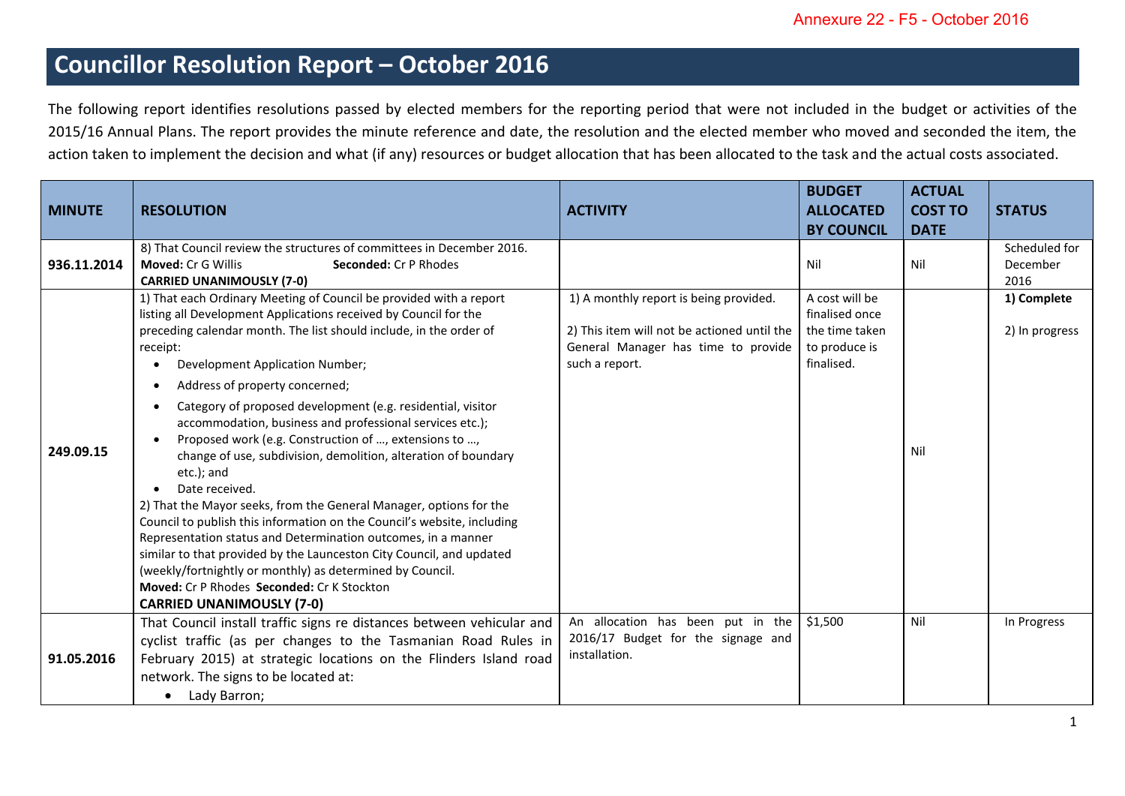## **Councillor Resolution Report – October 2016**

The following report identifies resolutions passed by elected members for the reporting period that were not included in the budget or activities of the 2015/16 Annual Plans. The report provides the minute reference and date, the resolution and the elected member who moved and seconded the item, the action taken to implement the decision and what (if any) resources or budget allocation that has been allocated to the task and the actual costs associated.

| <b>MINUTE</b> | <b>RESOLUTION</b>                                                                                                                                                                                                                                                                                                                                                                                                                                                                                                                                                                                                                                                                                                                                                                                                                                                                                                                                                                                                            | <b>ACTIVITY</b>                                                                                                                                | <b>BUDGET</b><br><b>ALLOCATED</b><br><b>BY COUNCIL</b>                            | <b>ACTUAL</b><br><b>COST TO</b><br><b>DATE</b> | <b>STATUS</b>                     |
|---------------|------------------------------------------------------------------------------------------------------------------------------------------------------------------------------------------------------------------------------------------------------------------------------------------------------------------------------------------------------------------------------------------------------------------------------------------------------------------------------------------------------------------------------------------------------------------------------------------------------------------------------------------------------------------------------------------------------------------------------------------------------------------------------------------------------------------------------------------------------------------------------------------------------------------------------------------------------------------------------------------------------------------------------|------------------------------------------------------------------------------------------------------------------------------------------------|-----------------------------------------------------------------------------------|------------------------------------------------|-----------------------------------|
| 936.11.2014   | 8) That Council review the structures of committees in December 2016.<br><b>Moved: Cr G Willis</b><br>Seconded: Cr P Rhodes<br><b>CARRIED UNANIMOUSLY (7-0)</b>                                                                                                                                                                                                                                                                                                                                                                                                                                                                                                                                                                                                                                                                                                                                                                                                                                                              |                                                                                                                                                | Nil                                                                               | Nil                                            | Scheduled for<br>December<br>2016 |
| 249.09.15     | 1) That each Ordinary Meeting of Council be provided with a report<br>listing all Development Applications received by Council for the<br>preceding calendar month. The list should include, in the order of<br>receipt:<br>Development Application Number;<br>Address of property concerned;<br>Category of proposed development (e.g. residential, visitor<br>accommodation, business and professional services etc.);<br>Proposed work (e.g. Construction of , extensions to ,<br>change of use, subdivision, demolition, alteration of boundary<br>etc.); and<br>Date received.<br>2) That the Mayor seeks, from the General Manager, options for the<br>Council to publish this information on the Council's website, including<br>Representation status and Determination outcomes, in a manner<br>similar to that provided by the Launceston City Council, and updated<br>(weekly/fortnightly or monthly) as determined by Council.<br>Moved: Cr P Rhodes Seconded: Cr K Stockton<br><b>CARRIED UNANIMOUSLY (7-0)</b> | 1) A monthly report is being provided.<br>2) This item will not be actioned until the<br>General Manager has time to provide<br>such a report. | A cost will be<br>finalised once<br>the time taken<br>to produce is<br>finalised. | Nil                                            | 1) Complete<br>2) In progress     |
| 91.05.2016    | That Council install traffic signs re distances between vehicular and<br>cyclist traffic (as per changes to the Tasmanian Road Rules in<br>February 2015) at strategic locations on the Flinders Island road<br>network. The signs to be located at:<br>Lady Barron;<br>$\bullet$                                                                                                                                                                                                                                                                                                                                                                                                                                                                                                                                                                                                                                                                                                                                            | An allocation has been put in the<br>2016/17 Budget for the signage and<br>installation.                                                       | \$1,500                                                                           | Nil                                            | In Progress                       |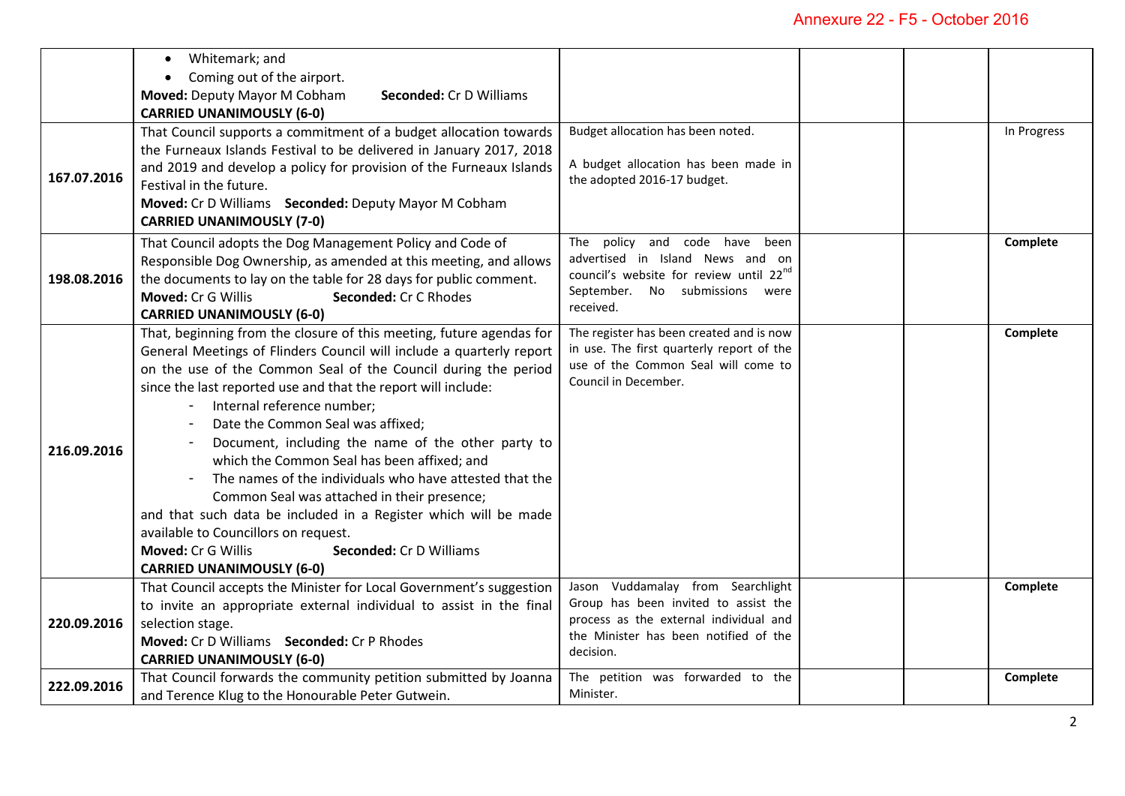|             | Whitemark; and<br>$\bullet$                                          |                                                                                 |  |             |
|-------------|----------------------------------------------------------------------|---------------------------------------------------------------------------------|--|-------------|
|             | Coming out of the airport.<br>$\bullet$                              |                                                                                 |  |             |
|             | Moved: Deputy Mayor M Cobham<br>Seconded: Cr D Williams              |                                                                                 |  |             |
|             |                                                                      |                                                                                 |  |             |
|             | <b>CARRIED UNANIMOUSLY (6-0)</b>                                     |                                                                                 |  |             |
|             | That Council supports a commitment of a budget allocation towards    | Budget allocation has been noted.                                               |  | In Progress |
|             | the Furneaux Islands Festival to be delivered in January 2017, 2018  | A budget allocation has been made in                                            |  |             |
| 167.07.2016 | and 2019 and develop a policy for provision of the Furneaux Islands  | the adopted 2016-17 budget.                                                     |  |             |
|             | Festival in the future.                                              |                                                                                 |  |             |
|             | Moved: Cr D Williams Seconded: Deputy Mayor M Cobham                 |                                                                                 |  |             |
|             | <b>CARRIED UNANIMOUSLY (7-0)</b>                                     |                                                                                 |  |             |
|             | That Council adopts the Dog Management Policy and Code of            | The policy and code have been                                                   |  | Complete    |
|             | Responsible Dog Ownership, as amended at this meeting, and allows    | advertised in Island News and on                                                |  |             |
| 198.08.2016 | the documents to lay on the table for 28 days for public comment.    | council's website for review until 22nd                                         |  |             |
|             | Moved: Cr G Willis<br>Seconded: Cr C Rhodes                          | September. No submissions were                                                  |  |             |
|             | <b>CARRIED UNANIMOUSLY (6-0)</b>                                     | received.                                                                       |  |             |
|             | That, beginning from the closure of this meeting, future agendas for | The register has been created and is now                                        |  | Complete    |
|             | General Meetings of Flinders Council will include a quarterly report | in use. The first quarterly report of the                                       |  |             |
|             | on the use of the Common Seal of the Council during the period       | use of the Common Seal will come to                                             |  |             |
|             | since the last reported use and that the report will include:        | Council in December.                                                            |  |             |
|             | Internal reference number;                                           |                                                                                 |  |             |
|             | Date the Common Seal was affixed;                                    |                                                                                 |  |             |
|             | Document, including the name of the other party to                   |                                                                                 |  |             |
| 216.09.2016 | which the Common Seal has been affixed; and                          |                                                                                 |  |             |
|             |                                                                      |                                                                                 |  |             |
|             | The names of the individuals who have attested that the              |                                                                                 |  |             |
|             | Common Seal was attached in their presence;                          |                                                                                 |  |             |
|             | and that such data be included in a Register which will be made      |                                                                                 |  |             |
|             | available to Councillors on request.                                 |                                                                                 |  |             |
|             | Moved: Cr G Willis<br>Seconded: Cr D Williams                        |                                                                                 |  |             |
|             | <b>CARRIED UNANIMOUSLY (6-0)</b>                                     |                                                                                 |  |             |
|             | That Council accepts the Minister for Local Government's suggestion  | Vuddamalay from Searchlight<br>Jason                                            |  | Complete    |
| 220.09.2016 | to invite an appropriate external individual to assist in the final  | Group has been invited to assist the                                            |  |             |
|             | selection stage.                                                     | process as the external individual and<br>the Minister has been notified of the |  |             |
|             | Moved: Cr D Williams Seconded: Cr P Rhodes                           | decision.                                                                       |  |             |
|             | <b>CARRIED UNANIMOUSLY (6-0)</b>                                     |                                                                                 |  |             |
| 222.09.2016 | That Council forwards the community petition submitted by Joanna     | The petition was forwarded to the                                               |  | Complete    |
|             | and Terence Klug to the Honourable Peter Gutwein.                    | Minister.                                                                       |  |             |